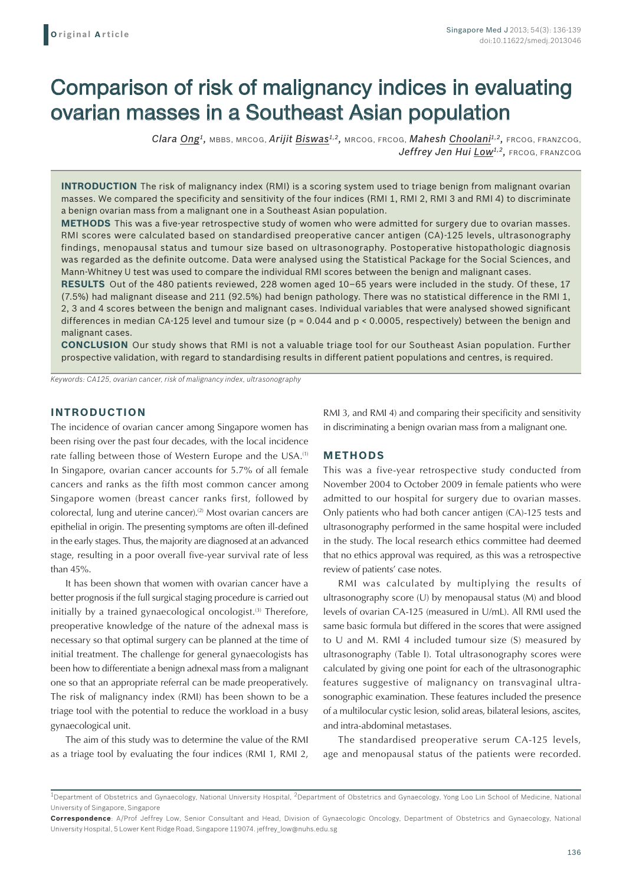# Comparison of risk of malignancy indices in evaluating ovarian masses in a Southeast Asian population

*Clara Ong1,* MBBS, MRCOG, *Arijit Biswas1,2,* MRCOG, FRCOG, *Mahesh Choolani1,2,* FRCOG, FRANZCOG, Jeffrey Jen Hui Low<sup>1,2</sup>, FRCOG, FRANZCOG

**INTRODUCTION** The risk of malignancy index (RMI) is a scoring system used to triage benign from malignant ovarian masses. We compared the specificity and sensitivity of the four indices (RMI 1, RMI 2, RMI 3 and RMI 4) to discriminate a benign ovarian mass from a malignant one in a Southeast Asian population.

**METHODS** This was a five-year retrospective study of women who were admitted for surgery due to ovarian masses. RMI scores were calculated based on standardised preoperative cancer antigen (CA)-125 levels, ultrasonography findings, menopausal status and tumour size based on ultrasonography. Postoperative histopathologic diagnosis was regarded as the definite outcome. Data were analysed using the Statistical Package for the Social Sciences, and Mann-Whitney U test was used to compare the individual RMI scores between the benign and malignant cases.

**RESULTS** Out of the 480 patients reviewed, 228 women aged 10–65 years were included in the study. Of these, 17 (7.5%) had malignant disease and 211 (92.5%) had benign pathology. There was no statistical difference in the RMI 1, 2, 3 and 4 scores between the benign and malignant cases. Individual variables that were analysed showed significant differences in median CA-125 level and tumour size ( $p = 0.044$  and  $p < 0.0005$ , respectively) between the benign and malignant cases.

**CONCLUSION** Our study shows that RMI is not a valuable triage tool for our Southeast Asian population. Further prospective validation, with regard to standardising results in different patient populations and centres, is required.

*Keywords: CA125, ovarian cancer, risk of malignancy index, ultrasonography*

## **INTRODUCTION**

The incidence of ovarian cancer among Singapore women has been rising over the past four decades, with the local incidence rate falling between those of Western Europe and the USA.<sup>(1)</sup> In Singapore, ovarian cancer accounts for 5.7% of all female cancers and ranks as the fifth most common cancer among Singapore women (breast cancer ranks first, followed by colorectal, lung and uterine cancer).<sup>(2)</sup> Most ovarian cancers are epithelial in origin. The presenting symptoms are often ill-defined in the early stages. Thus, the majority are diagnosed at an advanced stage, resulting in a poor overall five-year survival rate of less than 45%.

It has been shown that women with ovarian cancer have a better prognosis if the full surgical staging procedure is carried out initially by a trained gynaecological oncologist. $(3)$  Therefore, preoperative knowledge of the nature of the adnexal mass is necessary so that optimal surgery can be planned at the time of initial treatment. The challenge for general gynaecologists has been how to differentiate a benign adnexal mass from a malignant one so that an appropriate referral can be made preoperatively. The risk of malignancy index (RMI) has been shown to be a triage tool with the potential to reduce the workload in a busy gynaecological unit.

The aim of this study was to determine the value of the RMI as a triage tool by evaluating the four indices (RMI 1, RMI 2, RMI 3, and RMI 4) and comparing their specificity and sensitivity in discriminating a benign ovarian mass from a malignant one.

## **METHODS**

This was a five-year retrospective study conducted from November 2004 to October 2009 in female patients who were admitted to our hospital for surgery due to ovarian masses. Only patients who had both cancer antigen (CA)-125 tests and ultrasonography performed in the same hospital were included in the study. The local research ethics committee had deemed that no ethics approval was required, as this was a retrospective review of patients' case notes.

RMI was calculated by multiplying the results of ultrasonography score (U) by menopausal status (M) and blood levels of ovarian CA-125 (measured in U/mL). All RMI used the same basic formula but differed in the scores that were assigned to U and M. RMI 4 included tumour size (S) measured by ultrasonography (Table I). Total ultrasonography scores were calculated by giving one point for each of the ultrasonographic features suggestive of malignancy on transvaginal ultrasonographic examination. These features included the presence of a multilocular cystic lesion, solid areas, bilateral lesions, ascites, and intra-abdominal metastases.

The standardised preoperative serum CA-125 levels, age and menopausal status of the patients were recorded.

<sup>&</sup>lt;sup>1</sup>Department of Obstetrics and Gynaecology, National University Hospital, <sup>2</sup>Department of Obstetrics and Gynaecology, Yong Loo Lin School of Medicine, National University of Singapore, Singapore

**Correspondence**: A/Prof Jeffrey Low, Senior Consultant and Head, Division of Gynaecologic Oncology, Department of Obstetrics and Gynaecology, National University Hospital, 5 Lower Kent Ridge Road, Singapore 119074. jeffrey\_low@nuhs.edu.sg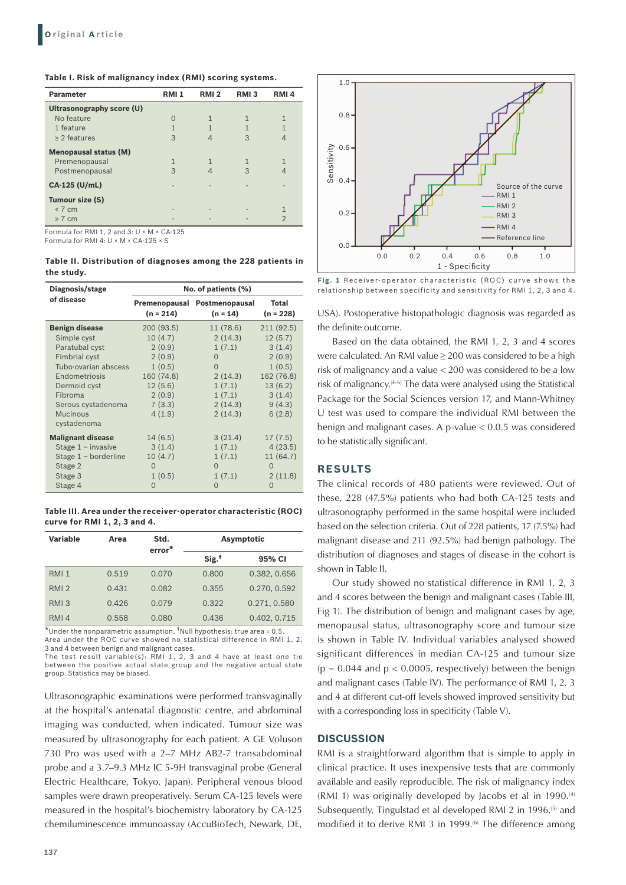| <b>Parameter</b>             | <b>RMI1</b> | RMI <sub>2</sub> | RMI <sub>3</sub> | RMI <sub>4</sub> |
|------------------------------|-------------|------------------|------------------|------------------|
| Ultrasonography score (U)    |             |                  |                  |                  |
| No feature                   | $\Omega$    |                  |                  | $\mathbf{1}$     |
| 1 feature                    | 1           |                  |                  | 1                |
| $\geq$ 2 features            | 3           |                  | 3                | $\Delta$         |
| <b>Menopausal status (M)</b> |             |                  |                  |                  |
| Premenopausal                | 1           | 1                |                  | $\mathbf{1}$     |
| Postmenopausal               | 3           |                  | 3                |                  |
| CA-125 (U/mL)                |             |                  |                  |                  |
| Tumour size (S)              |             |                  |                  |                  |
| < 7 cm                       |             |                  |                  |                  |
| $\geq 7$ cm                  |             |                  |                  | $\overline{2}$   |

Formula for RMI 1, 2 and 3: U × M × CA-125 Formula for RMI 4: U × M × CA-125 × S

**Table II. Distribution of diagnoses among the 228 patients in the study.**

| Diagnosis/stage          | No. of patients (%) |                                            |                      |  |  |
|--------------------------|---------------------|--------------------------------------------|----------------------|--|--|
| of disease               | $(n = 214)$         | Premenopausal Postmenopausal<br>$(n = 14)$ | Total<br>$(n = 228)$ |  |  |
| <b>Benign disease</b>    | 200 (93.5)          | 11 (78.6)                                  | 211(92.5)            |  |  |
| Simple cyst              | 10(4.7)             | 2(14.3)                                    | 12(5.7)              |  |  |
| Paratubal cyst           | 2(0.9)              | 1(7.1)                                     | 3(1.4)               |  |  |
| <b>Fimbrial cyst</b>     | 2(0.9)              | 0                                          | 2(0.9)               |  |  |
| Tubo-ovarian abscess     | 1(0.5)              | $\Omega$                                   | 1(0.5)               |  |  |
| Endometriosis            | 160 (74.8)          | 2(14.3)                                    | 162 (76.8)           |  |  |
| Dermoid cyst             | 12(5.6)             | 1(7.1)                                     | 13(6.2)              |  |  |
| Fibroma                  | 2(0.9)              | 1(7.1)                                     | 3(1.4)               |  |  |
| Serous cystadenoma       | 7(3.3)              | 2(14.3)                                    | 9(4.3)               |  |  |
| <b>Mucinous</b>          | 4(1.9)              | 2(14.3)                                    | 6(2.8)               |  |  |
| cystadenoma              |                     |                                            |                      |  |  |
| <b>Malignant disease</b> | 14(6.5)             | 3(21.4)                                    | 17(7.5)              |  |  |
| Stage $1 -$ invasive     | 3(1.4)              | 1(7.1)                                     | 4(23.5)              |  |  |
| Stage $1 -$ borderline   | 10(4.7)             | 1(7.1)                                     | 11 (64.7)            |  |  |
| Stage 2                  | $\Omega$            | $\Omega$                                   | $\Omega$             |  |  |
| Stage 3                  | 1(0.5)              | 1(7.1)                                     | 2(11.8)              |  |  |
| Stage 4                  | $\Omega$            | $\Omega$                                   | $\Omega$             |  |  |

**Table III. Area under the receiver-operator characteristic (ROC) curve for RMI 1, 2, 3 and 4.** 

| <b>Variable</b>  | Area  | Std.<br>error <sup>*</sup> | <b>Asymptotic</b> |              |
|------------------|-------|----------------------------|-------------------|--------------|
|                  |       |                            | Sig. <sup>†</sup> | 95% CI       |
| RMI <sub>1</sub> | 0.519 | 0.070                      | 0.800             | 0.382, 0.656 |
| RMI <sub>2</sub> | 0.431 | 0.082                      | 0.355             | 0.270, 0.592 |
| RMI <sub>3</sub> | 0.426 | 0.079                      | 0.322             | 0.271, 0.580 |
| RMI4             | 0.558 | 0.080                      | 0.436             | 0.402, 0.715 |

 $\overline{\text{*}}$ Under the nonparametric assumption.  $\text{*}$ Null hypothesis: true area = 0.5 Area under the ROC curve showed no statistical difference in RMI 1, 2, 3 and 4 between benign and malignant cases.

The test result variable(s): RMI 1, 2, 3 and 4 have at least one tie between the positive actual state group and the negative actual state group. Statistics may be biased.

Ultrasonographic examinations were performed transvaginally at the hospital's antenatal diagnostic centre, and abdominal imaging was conducted, when indicated. Tumour size was measured by ultrasonography for each patient. A GE Voluson 730 Pro was used with a 2–7 MHz AB2-7 transabdominal probe and a 3.7–9.3 MHz IC 5-9H transvaginal probe (General Electric Healthcare, Tokyo, Japan). Peripheral venous blood samples were drawn preoperatively. Serum CA-125 levels were measured in the hospital's biochemistry laboratory by CA-125 chemiluminescence immunoassay (AccuBioTech, Newark, DE,



Fig. 1 Receiver-operator characteristic (ROC) curve shows the relationship between specificity and sensitivity for RMI 1, 2, 3 and 4.

USA). Postoperative histopathologic diagnosis was regarded as the definite outcome.

Based on the data obtained, the RMI 1, 2, 3 and 4 scores were calculated. An RMI value ≥ 200 was considered to be a high risk of malignancy and a value < 200 was considered to be a low risk of malignancy.<sup>(4-6)</sup> The data were analysed using the Statistical Package for the Social Sciences version 17, and Mann-Whitney U test was used to compare the individual RMI between the benign and malignant cases. A p-value < 0.0.5 was considered to be statistically significant.

## **RESULTS**

The clinical records of 480 patients were reviewed. Out of these, 228 (47.5%) patients who had both CA-125 tests and ultrasonography performed in the same hospital were included based on the selection criteria. Out of 228 patients, 17 (7.5%) had malignant disease and 211 (92.5%) had benign pathology. The distribution of diagnoses and stages of disease in the cohort is shown in Table II.

Our study showed no statistical difference in RMI 1, 2, 3 and 4 scores between the benign and malignant cases (Table III, Fig 1). The distribution of benign and malignant cases by age, menopausal status, ultrasonography score and tumour size is shown in Table IV. Individual variables analysed showed significant differences in median CA-125 and tumour size  $(p = 0.044$  and  $p < 0.0005$ , respectively) between the benign and malignant cases (Table IV). The performance of RMI 1, 2, 3 and 4 at different cut-off levels showed improved sensitivity but with a corresponding loss in specificity (Table V).

#### **DISCUSSION**

RMI is a straightforward algorithm that is simple to apply in clinical practice. It uses inexpensive tests that are commonly available and easily reproducible. The risk of malignancy index  $(RM1 1)$  was originally developed by Jacobs et al in 1990.<sup>(4)</sup> Subsequently, Tingulstad et al developed RMI 2 in 1996,<sup>(5)</sup> and modified it to derive RMI 3 in 1999.<sup>(6)</sup> The difference among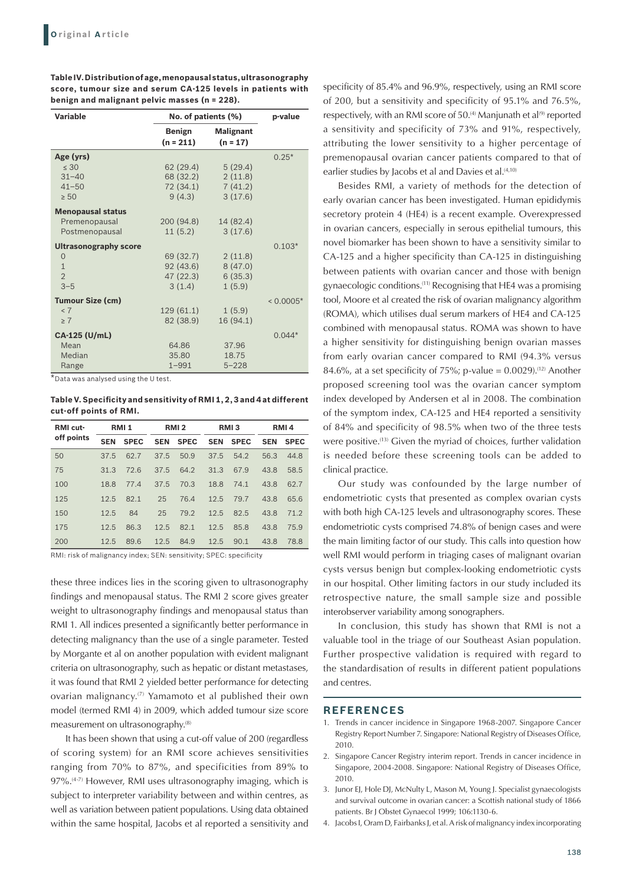**Table IV. Distribution of age, menopausal status, ultrasonography score, tumour size and serum CA-125 levels in patients with benign and malignant pelvic masses (n = 228).** 

| <b>Variable</b>              | No. of patients (%)   | p-value                        |             |
|------------------------------|-----------------------|--------------------------------|-------------|
|                              | Benign<br>$(n = 211)$ | <b>Malignant</b><br>$(n = 17)$ |             |
| Age (yrs)                    |                       |                                | $0.25*$     |
| $\leq 30$                    | 62(29.4)              | 5(29.4)                        |             |
| $31 - 40$                    | 68 (32.2)             | 2(11.8)                        |             |
| $41 - 50$                    | 72 (34.1)             | 7(41.2)                        |             |
| $\geq 50$                    | 9(4.3)                | 3(17.6)                        |             |
| <b>Menopausal status</b>     |                       |                                |             |
| Premenopausal                | 200 (94.8)            | 14 (82.4)                      |             |
| Postmenopausal               | 11(5.2)               | 3(17.6)                        |             |
| <b>Ultrasonography score</b> |                       |                                | $0.103*$    |
| $\Omega$                     | 69 (32.7)             | 2(11.8)                        |             |
| $\mathbf{1}$                 | 92 (43.6)             | 8(47.0)                        |             |
| $\overline{2}$               | 47 (22.3)             | 6(35.3)                        |             |
| $3 - 5$                      | 3(1.4)                | 1(5.9)                         |             |
| <b>Tumour Size (cm)</b>      |                       |                                | $< 0.0005*$ |
| < 7                          | 129(61.1)             | 1(5.9)                         |             |
| $\geq 7$                     | 82 (38.9)             | 16 (94.1)                      |             |
| CA-125 (U/mL)                |                       |                                | $0.044*$    |
| Mean                         | 64.86                 | 37.96                          |             |
| Median                       | 35.80                 | 18.75                          |             |
| Range                        | $1 - 991$             | $5 - 228$                      |             |

\*Data was analysed using the U test.

**Table V. Specificity and sensitivity of RMI 1, 2, 3 and 4 at different cut-off points of RMI.** 

| RMI cut-<br>off points | <b>RMI1</b> |             | RMI <sub>2</sub> |             | RMI <sub>3</sub> |             | RMI <sub>4</sub> |             |
|------------------------|-------------|-------------|------------------|-------------|------------------|-------------|------------------|-------------|
|                        | <b>SEN</b>  | <b>SPEC</b> | <b>SEN</b>       | <b>SPEC</b> | <b>SEN</b>       | <b>SPEC</b> | <b>SEN</b>       | <b>SPEC</b> |
| 50                     | 37.5        | 62.7        | 37.5             | 50.9        | 37.5             | 54.2        | 56.3             | 44.8        |
| 75                     | 31.3        | 72.6        | 37.5             | 64.2        | 31.3             | 67.9        | 43.8             | 58.5        |
| 100                    | 18.8        | 77.4        | 37.5             | 70.3        | 18.8             | 74.1        | 43.8             | 62.7        |
| 125                    | 12.5        | 82.1        | 25               | 76.4        | 12.5             | 79.7        | 43.8             | 65.6        |
| 150                    | 12.5        | 84          | 25               | 79.2        | 12.5             | 82.5        | 43.8             | 71.2        |
| 175                    | 12.5        | 86.3        | 12.5             | 82.1        | 12.5             | 85.8        | 43.8             | 75.9        |
| 200                    | 12.5        | 89.6        | 12.5             | 84.9        | 12.5             | 90.1        | 43.8             | 78.8        |

RMI: risk of malignancy index; SEN: sensitivity; SPEC: specificity

these three indices lies in the scoring given to ultrasonography findings and menopausal status. The RMI 2 score gives greater weight to ultrasonography findings and menopausal status than RMI 1. All indices presented a significantly better performance in detecting malignancy than the use of a single parameter. Tested by Morgante et al on another population with evident malignant criteria on ultrasonography, such as hepatic or distant metastases, it was found that RMI 2 yielded better performance for detecting ovarian malignancy.(7) Yamamoto et al published their own model (termed RMI 4) in 2009, which added tumour size score measurement on ultrasonography.(8)

It has been shown that using a cut-off value of 200 (regardless of scoring system) for an RMI score achieves sensitivities ranging from 70% to 87%, and specificities from 89% to 97%.<sup>(4-7)</sup> However, RMI uses ultrasonography imaging, which is subject to interpreter variability between and within centres, as well as variation between patient populations. Using data obtained within the same hospital, Jacobs et al reported a sensitivity and

specificity of 85.4% and 96.9%, respectively, using an RMI score of 200, but a sensitivity and specificity of 95.1% and 76.5%, respectively, with an RMI score of 50.<sup>(4)</sup> Manjunath et al<sup>(9)</sup> reported a sensitivity and specificity of 73% and 91%, respectively, attributing the lower sensitivity to a higher percentage of premenopausal ovarian cancer patients compared to that of earlier studies by Jacobs et al and Davies et al.<sup>(4,10)</sup>

Besides RMI, a variety of methods for the detection of early ovarian cancer has been investigated. Human epididymis secretory protein 4 (HE4) is a recent example. Overexpressed in ovarian cancers, especially in serous epithelial tumours, this novel biomarker has been shown to have a sensitivity similar to CA-125 and a higher specificity than CA-125 in distinguishing between patients with ovarian cancer and those with benign gynaecologic conditions.(11) Recognising that HE4 was a promising tool, Moore et al created the risk of ovarian malignancy algorithm (ROMA), which utilises dual serum markers of HE4 and CA-125 combined with menopausal status. ROMA was shown to have a higher sensitivity for distinguishing benign ovarian masses from early ovarian cancer compared to RMI (94.3% versus 84.6%, at a set specificity of 75%; p-value =  $0.0029$ ).<sup>(12)</sup> Another proposed screening tool was the ovarian cancer symptom index developed by Andersen et al in 2008. The combination of the symptom index, CA-125 and HE4 reported a sensitivity of 84% and specificity of 98.5% when two of the three tests were positive.(13) Given the myriad of choices, further validation is needed before these screening tools can be added to clinical practice.

Our study was confounded by the large number of endometriotic cysts that presented as complex ovarian cysts with both high CA-125 levels and ultrasonography scores. These endometriotic cysts comprised 74.8% of benign cases and were the main limiting factor of our study. This calls into question how well RMI would perform in triaging cases of malignant ovarian cysts versus benign but complex-looking endometriotic cysts in our hospital. Other limiting factors in our study included its retrospective nature, the small sample size and possible interobserver variability among sonographers.

In conclusion, this study has shown that RMI is not a valuable tool in the triage of our Southeast Asian population. Further prospective validation is required with regard to the standardisation of results in different patient populations and centres.

#### **REFERENCES**

- 1. Trends in cancer incidence in Singapore 1968-2007. Singapore Cancer Registry Report Number 7. Singapore: National Registry of Diseases Office, 2010.
- 2. Singapore Cancer Registry interim report. Trends in cancer incidence in Singapore, 2004-2008. Singapore: National Registry of Diseases Office, 2010.
- 3. Junor EJ, Hole DJ, McNulty L, Mason M, Young J. Specialist gynaecologists and survival outcome in ovarian cancer: a Scottish national study of 1866 patients. Br J Obstet Gynaecol 1999; 106:1130-6.
- 4. Jacobs I, Oram D, Fairbanks J, et al. A risk of malignancy index incorporating